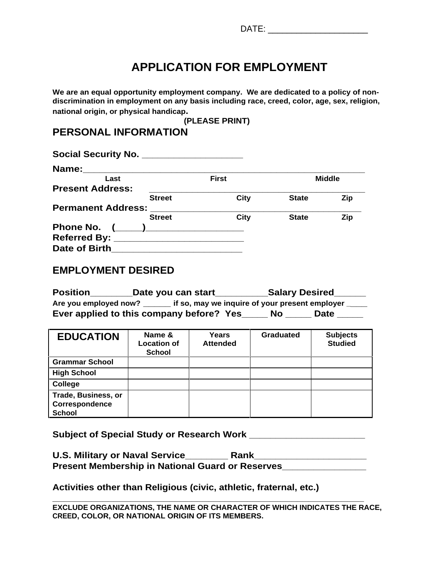## **APPLICATION FOR EMPLOYMENT**

**We are an equal opportunity employment company. We are dedicated to a policy of non discrimination in employment on any basis including race, creed, color, age, sex, religion, national origin, or physical handicap. (PLEASE PRINT)**

## **PERSONAL INFORMATION**

| Social Security No.       |               |       |              |               |
|---------------------------|---------------|-------|--------------|---------------|
| Name:                     |               |       |              |               |
| Last                      |               | First |              | <b>Middle</b> |
| <b>Present Address:</b>   |               |       |              |               |
|                           | <b>Street</b> | City  | <b>State</b> | <b>Zip</b>    |
| <b>Permanent Address:</b> |               |       |              |               |
|                           | <b>Street</b> | City  | <b>State</b> | Zip.          |
| Phone No.                 |               |       |              |               |
| Referred By:              |               |       |              |               |
| Date of Birth_            |               |       |              |               |

## **EMPLOYMENT DESIRED**

| <b>Position</b><br>_Date you can start_<br><b>Salary Desired</b>        |
|-------------------------------------------------------------------------|
| Are you employed now?<br>if so, may we inquire of your present employer |
| Ever applied to this company before? Yes_<br><b>No</b><br><b>Date</b>   |

| <b>EDUCATION</b>      | Name &<br><b>Location of</b><br><b>School</b> | Years<br><b>Attended</b> | <b>Graduated</b> | <b>Subjects</b><br><b>Studied</b> |
|-----------------------|-----------------------------------------------|--------------------------|------------------|-----------------------------------|
| <b>Grammar School</b> |                                               |                          |                  |                                   |
| <b>High School</b>    |                                               |                          |                  |                                   |
| <b>College</b>        |                                               |                          |                  |                                   |
| Trade, Business, or   |                                               |                          |                  |                                   |
| Correspondence        |                                               |                          |                  |                                   |
| School                |                                               |                          |                  |                                   |

**Subject of Special Study or Research Work \_\_\_\_\_\_\_\_\_\_\_\_\_\_\_\_\_\_\_\_\_\_**

| '' S. Military or Naval Service<br>U.S.                               | <b>Rank</b> |  |  |
|-----------------------------------------------------------------------|-------------|--|--|
| <b>Present Membership in</b><br><b>vin National Guard or Reserves</b> |             |  |  |

**Activities other than Religious (civic, athletic, fraternal, etc.)**

**\_\_\_\_\_\_\_\_\_\_\_\_\_\_\_\_\_\_\_\_\_\_\_\_\_\_\_\_\_\_\_\_\_\_\_\_\_\_\_\_\_\_\_\_\_\_\_\_\_\_\_\_\_\_\_\_ EXCLUDE ORGANIZATIONS, THE NAME OR CHARACTER OF WHICH INDICATES THE RACE, CREED, COLOR, OR NATIONAL ORIGIN OF ITS MEMBERS.**